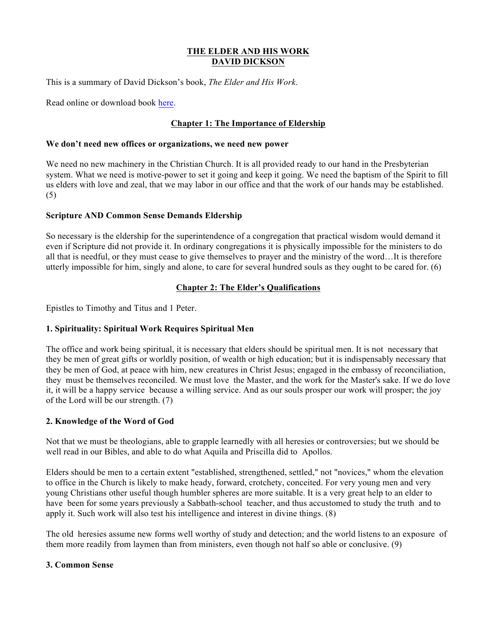## **THE ELDER AND HIS WORK DAVID DICKSON**

This is a summary of David Dickson's book, *The Elder and His Work*.

Read online or download book here.

# **Chapter 1: The Importance of Eldership**

#### **We don't need new offices or organizations, we need new power**

We need no new machinery in the Christian Church. It is all provided ready to our hand in the Presbyterian system. What we need is motive-power to set it going and keep it going. We need the baptism of the Spirit to fill us elders with love and zeal, that we may labor in our office and that the work of our hands may be established. (5)

### **Scripture AND Common Sense Demands Eldership**

So necessary is the eldership for the superintendence of a congregation that practical wisdom would demand it even if Scripture did not provide it. In ordinary congregations it is physically impossible for the ministers to do all that is needful, or they must cease to give themselves to prayer and the ministry of the word…It is therefore utterly impossible for him, singly and alone, to care for several hundred souls as they ought to be cared for. (6)

### **Chapter 2: The Elder's Qualifications**

Epistles to Timothy and Titus and 1 Peter.

### **1. Spirituality: Spiritual Work Requires Spiritual Men**

The office and work being spiritual, it is necessary that elders should be spiritual men. It is not necessary that they be men of great gifts or worldly position, of wealth or high education; but it is indispensably necessary that they be men of God, at peace with him, new creatures in Christ Jesus; engaged in the embassy of reconciliation, they must be themselves reconciled. We must love the Master, and the work for the Master's sake. If we do love it, it will be a happy service because a willing service. And as our souls prosper our work will prosper; the joy of the Lord will be our strength. (7)

### **2. Knowledge of the Word of God**

Not that we must be theologians, able to grapple learnedly with all heresies or controversies; but we should be well read in our Bibles, and able to do what Aquila and Priscilla did to Apollos.

Elders should be men to a certain extent "established, strengthened, settled," not "novices," whom the elevation to office in the Church is likely to make heady, forward, crotchety, conceited. For very young men and very young Christians other useful though humbler spheres are more suitable. It is a very great help to an elder to have been for some years previously a Sabbath-school teacher, and thus accustomed to study the truth and to apply it. Such work will also test his intelligence and interest in divine things. (8)

The old heresies assume new forms well worthy of study and detection; and the world listens to an exposure of them more readily from laymen than from ministers, even though not half so able or conclusive. (9)

#### **3. Common Sense**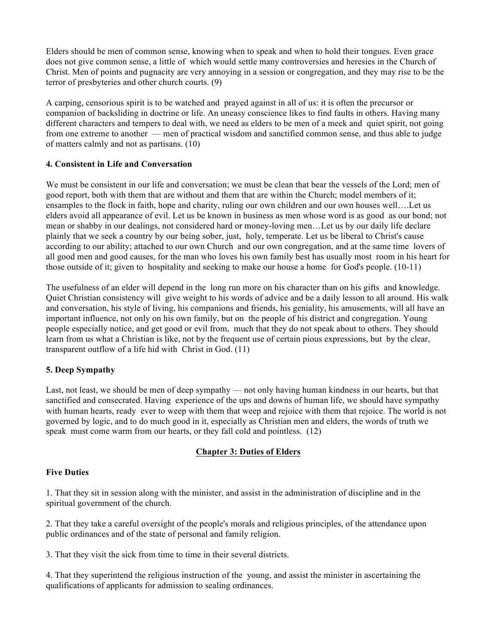Elders should be men of common sense, knowing when to speak and when to hold their tongues. Even grace does not give common sense, a little of which would settle many controversies and heresies in the Church of Christ. Men of points and pugnacity are very annoying in a session or congregation, and they may rise to be the terror of presbyteries and other church courts. (9)

A carping, censorious spirit is to be watched and prayed against in all of us: it is often the precursor or companion of backsliding in doctrine or life. An uneasy conscience likes to find faults in others. Having many different characters and tempers to deal with, we need as elders to be men of a meek and quiet spirit, not going from one extreme to another — men of practical wisdom and sanctified common sense, and thus able to judge of matters calmly and not as partisans. (10)

## **4. Consistent in Life and Conversation**

We must be consistent in our life and conversation; we must be clean that bear the vessels of the Lord; men of good report, both with them that are without and them that are within the Church; model members of it; ensamples to the flock in faith, hope and charity, ruling our own children and our own houses well….Let us elders avoid all appearance of evil. Let us be known in business as men whose word is as good as our bond; not mean or shabby in our dealings, not considered hard or money-loving men…Let us by our daily life declare plainly that we seek a country by our being sober, just, holy, temperate. Let us be liberal to Christ's cause according to our ability; attached to our own Church and our own congregation, and at the same time lovers of all good men and good causes, for the man who loves his own family best has usually most room in his heart for those outside of it; given to hospitality and seeking to make our house a home for God's people. (10-11)

The usefulness of an elder will depend in the long run more on his character than on his gifts and knowledge. Quiet Christian consistency will give weight to his words of advice and be a daily lesson to all around. His walk and conversation, his style of living, his companions and friends, his geniality, his amusements, will all have an important influence, not only on his own family, but on the people of his district and congregation. Young people especially notice, and get good or evil from, much that they do not speak about to others. They should learn from us what a Christian is like, not by the frequent use of certain pious expressions, but by the clear, transparent outflow of a life hid with Christ in God. (11)

# **5. Deep Sympathy**

Last, not least, we should be men of deep sympathy — not only having human kindness in our hearts, but that sanctified and consecrated. Having experience of the ups and downs of human life, we should have sympathy with human hearts, ready ever to weep with them that weep and rejoice with them that rejoice. The world is not governed by logic, and to do much good in it, especially as Christian men and elders, the words of truth we speak must come warm from our hearts, or they fall cold and pointless. (12)

# **Chapter 3: Duties of Elders**

### **Five Duties**

1. That they sit in session along with the minister, and assist in the administration of discipline and in the spiritual government of the church.

2. That they take a careful oversight of the people's morals and religious principles, of the attendance upon public ordinances and of the state of personal and family religion.

3. That they visit the sick from time to time in their several districts.

4. That they superintend the religious instruction of the young, and assist the minister in ascertaining the qualifications of applicants for admission to sealing ordinances.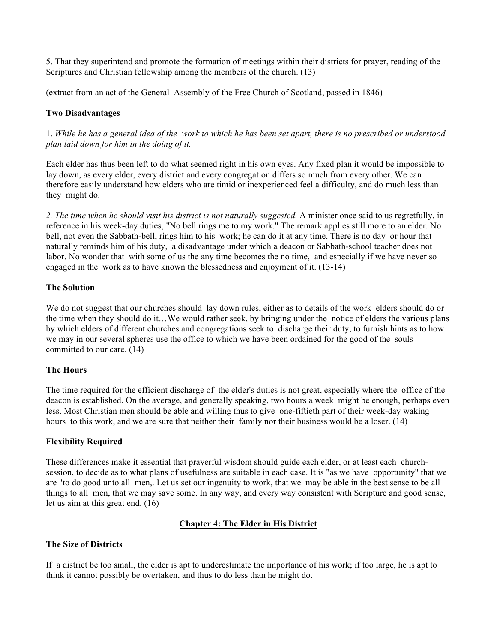5. That they superintend and promote the formation of meetings within their districts for prayer, reading of the Scriptures and Christian fellowship among the members of the church. (13)

(extract from an act of the General Assembly of the Free Church of Scotland, passed in 1846)

#### **Two Disadvantages**

1. *While he has a general idea of the work to which he has been set apart, there is no prescribed or understood plan laid down for him in the doing of it.* 

Each elder has thus been left to do what seemed right in his own eyes. Any fixed plan it would be impossible to lay down, as every elder, every district and every congregation differs so much from every other. We can therefore easily understand how elders who are timid or inexperienced feel a difficulty, and do much less than they might do.

*2. The time when he should visit his district is not naturally suggested.* A minister once said to us regretfully, in reference in his week-day duties, "No bell rings me to my work." The remark applies still more to an elder. No bell, not even the Sabbath-bell, rings him to his work; he can do it at any time. There is no day or hour that naturally reminds him of his duty, a disadvantage under which a deacon or Sabbath-school teacher does not labor. No wonder that with some of us the any time becomes the no time, and especially if we have never so engaged in the work as to have known the blessedness and enjoyment of it. (13-14)

#### **The Solution**

We do not suggest that our churches should lay down rules, either as to details of the work elders should do or the time when they should do it…We would rather seek, by bringing under the notice of elders the various plans by which elders of different churches and congregations seek to discharge their duty, to furnish hints as to how we may in our several spheres use the office to which we have been ordained for the good of the souls committed to our care. (14)

#### **The Hours**

The time required for the efficient discharge of the elder's duties is not great, especially where the office of the deacon is established. On the average, and generally speaking, two hours a week might be enough, perhaps even less. Most Christian men should be able and willing thus to give one-fiftieth part of their week-day waking hours to this work, and we are sure that neither their family nor their business would be a loser. (14)

#### **Flexibility Required**

These differences make it essential that prayerful wisdom should guide each elder, or at least each churchsession, to decide as to what plans of usefulness are suitable in each case. It is "as we have opportunity" that we are "to do good unto all men,. Let us set our ingenuity to work, that we may be able in the best sense to be all things to all men, that we may save some. In any way, and every way consistent with Scripture and good sense, let us aim at this great end. (16)

#### **Chapter 4: The Elder in His District**

### **The Size of Districts**

If a district be too small, the elder is apt to underestimate the importance of his work; if too large, he is apt to think it cannot possibly be overtaken, and thus to do less than he might do.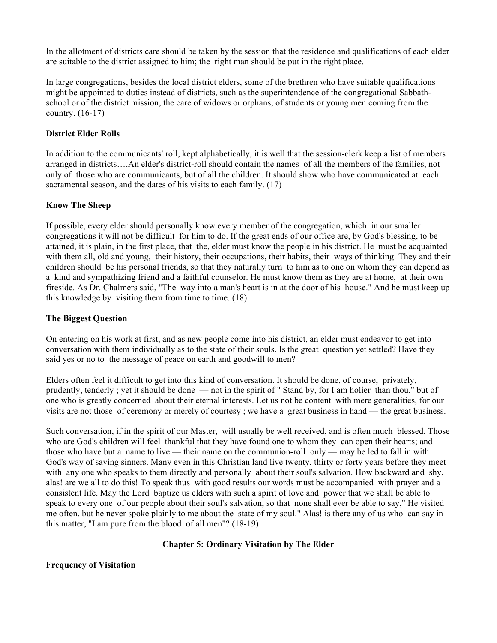In the allotment of districts care should be taken by the session that the residence and qualifications of each elder are suitable to the district assigned to him; the right man should be put in the right place.

In large congregations, besides the local district elders, some of the brethren who have suitable qualifications might be appointed to duties instead of districts, such as the superintendence of the congregational Sabbathschool or of the district mission, the care of widows or orphans, of students or young men coming from the country. (16-17)

## **District Elder Rolls**

In addition to the communicants' roll, kept alphabetically, it is well that the session-clerk keep a list of members arranged in districts….An elder's district-roll should contain the names of all the members of the families, not only of those who are communicants, but of all the children. It should show who have communicated at each sacramental season, and the dates of his visits to each family. (17)

### **Know The Sheep**

If possible, every elder should personally know every member of the congregation, which in our smaller congregations it will not be difficult for him to do. If the great ends of our office are, by God's blessing, to be attained, it is plain, in the first place, that the, elder must know the people in his district. He must be acquainted with them all, old and young, their history, their occupations, their habits, their ways of thinking. They and their children should be his personal friends, so that they naturally turn to him as to one on whom they can depend as a kind and sympathizing friend and a faithful counselor. He must know them as they are at home, at their own fireside. As Dr. Chalmers said, "The way into a man's heart is in at the door of his house." And he must keep up this knowledge by visiting them from time to time. (18)

### **The Biggest Question**

On entering on his work at first, and as new people come into his district, an elder must endeavor to get into conversation with them individually as to the state of their souls. Is the great question yet settled? Have they said yes or no to the message of peace on earth and goodwill to men?

Elders often feel it difficult to get into this kind of conversation. It should be done, of course, privately, prudently, tenderly ; yet it should be done — not in the spirit of " Stand by, for I am holier than thou," but of one who is greatly concerned about their eternal interests. Let us not be content with mere generalities, for our visits are not those of ceremony or merely of courtesy ; we have a great business in hand — the great business.

Such conversation, if in the spirit of our Master, will usually be well received, and is often much blessed. Those who are God's children will feel thankful that they have found one to whom they can open their hearts; and those who have but a name to live — their name on the communion-roll only — may be led to fall in with God's way of saving sinners. Many even in this Christian land live twenty, thirty or forty years before they meet with any one who speaks to them directly and personally about their soul's salvation. How backward and shy, alas! are we all to do this! To speak thus with good results our words must be accompanied with prayer and a consistent life. May the Lord baptize us elders with such a spirit of love and power that we shall be able to speak to every one of our people about their soul's salvation, so that none shall ever be able to say," He visited me often, but he never spoke plainly to me about the state of my soul." Alas! is there any of us who can say in this matter, "I am pure from the blood of all men"? (18-19)

# **Chapter 5: Ordinary Visitation by The Elder**

**Frequency of Visitation**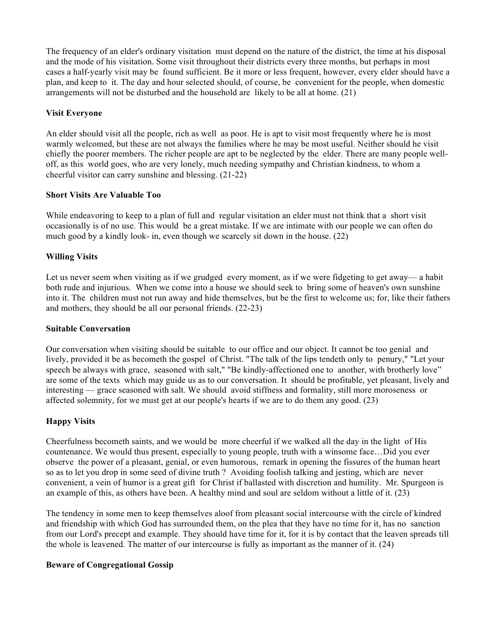The frequency of an elder's ordinary visitation must depend on the nature of the district, the time at his disposal and the mode of his visitation. Some visit throughout their districts every three months, but perhaps in most cases a half-yearly visit may be found sufficient. Be it more or less frequent, however, every elder should have a plan, and keep to it. The day and hour selected should, of course, be convenient for the people, when domestic arrangements will not be disturbed and the household are likely to be all at home. (21)

### **Visit Everyone**

An elder should visit all the people, rich as well as poor. He is apt to visit most frequently where he is most warmly welcomed, but these are not always the families where he may be most useful. Neither should he visit chiefly the poorer members. The richer people are apt to be neglected by the elder. There are many people welloff, as this world goes, who are very lonely, much needing sympathy and Christian kindness, to whom a cheerful visitor can carry sunshine and blessing. (21-22)

### **Short Visits Are Valuable Too**

While endeavoring to keep to a plan of full and regular visitation an elder must not think that a short visit occasionally is of no use. This would be a great mistake. If we are intimate with our people we can often do much good by a kindly look- in, even though we scarcely sit down in the house. (22)

## **Willing Visits**

Let us never seem when visiting as if we grudged every moment, as if we were fidgeting to get away— a habit both rude and injurious. When we come into a house we should seek to bring some of heaven's own sunshine into it. The children must not run away and hide themselves, but be the first to welcome us; for, like their fathers and mothers, they should be all our personal friends. (22-23)

### **Suitable Conversation**

Our conversation when visiting should be suitable to our office and our object. It cannot be too genial and lively, provided it be as becometh the gospel of Christ. "The talk of the lips tendeth only to penury," "Let your speech be always with grace, seasoned with salt," "Be kindly-affectioned one to another, with brotherly love" are some of the texts which may guide us as to our conversation. It should be profitable, yet pleasant, lively and interesting — grace seasoned with salt. We should avoid stiffness and formality, still more moroseness or affected solemnity, for we must get at our people's hearts if we are to do them any good. (23)

### **Happy Visits**

Cheerfulness becometh saints, and we would be more cheerful if we walked all the day in the light of His countenance. We would thus present, especially to young people, truth with a winsome face…Did you ever observe the power of a pleasant, genial, or even humorous, remark in opening the fissures of the human heart so as to let you drop in some seed of divine truth ? Avoiding foolish talking and jesting, which are never convenient, a vein of humor is a great gift for Christ if ballasted with discretion and humility. Mr. Spurgeon is an example of this, as others have been. A healthy mind and soul are seldom without a little of it. (23)

The tendency in some men to keep themselves aloof from pleasant social intercourse with the circle of kindred and friendship with which God has surrounded them, on the plea that they have no time for it, has no sanction from our Lord's precept and example. They should have time for it, for it is by contact that the leaven spreads till the whole is leavened. The matter of our intercourse is fully as important as the manner of it. (24)

### **Beware of Congregational Gossip**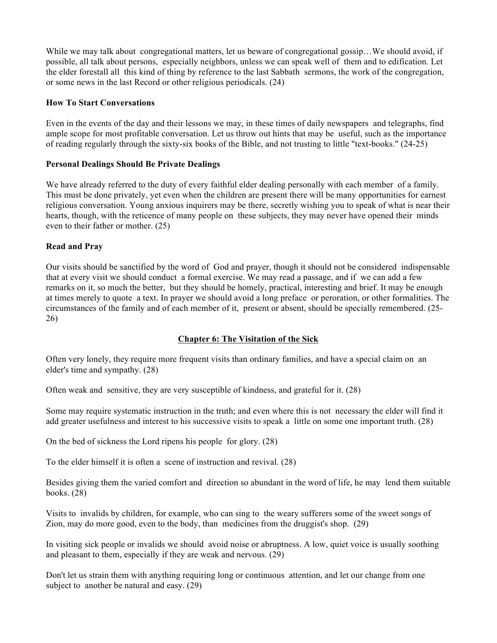While we may talk about congregational matters, let us beware of congregational gossip…We should avoid, if possible, all talk about persons, especially neighbors, unless we can speak well of them and to edification. Let the elder forestall all this kind of thing by reference to the last Sabbath sermons, the work of the congregation, or some news in the last Record or other religious periodicals. (24)

### **How To Start Conversations**

Even in the events of the day and their lessons we may, in these times of daily newspapers and telegraphs, find ample scope for most profitable conversation. Let us throw out hints that may be useful, such as the importance of reading regularly through the sixty-six books of the Bible, and not trusting to little "text-books." (24-25)

## **Personal Dealings Should Be Private Dealings**

We have already referred to the duty of every faithful elder dealing personally with each member of a family. This must be done privately, yet even when the children are present there will be many opportunities for earnest religious conversation. Young anxious inquirers may be there, secretly wishing you to speak of what is near their hearts, though, with the reticence of many people on these subjects, they may never have opened their minds even to their father or mother. (25)

## **Read and Pray**

Our visits should be sanctified by the word of God and prayer, though it should not be considered indispensable that at every visit we should conduct a formal exercise. We may read a passage, and if we can add a few remarks on it, so much the better, but they should be homely, practical, interesting and brief. It may be enough at times merely to quote a text. In prayer we should avoid a long preface or peroration, or other formalities. The circumstances of the family and of each member of it, present or absent, should be specially remembered. (25- 26)

# **Chapter 6: The Visitation of the Sick**

Often very lonely, they require more frequent visits than ordinary families, and have a special claim on an elder's time and sympathy. (28)

Often weak and sensitive, they are very susceptible of kindness, and grateful for it. (28)

Some may require systematic instruction in the truth; and even where this is not necessary the elder will find it add greater usefulness and interest to his successive visits to speak a little on some one important truth. (28)

On the bed of sickness the Lord ripens his people for glory. (28)

To the elder himself it is often a scene of instruction and revival. (28)

Besides giving them the varied comfort and direction so abundant in the word of life, he may lend them suitable books. (28)

Visits to invalids by children, for example, who can sing to the weary sufferers some of the sweet songs of Zion, may do more good, even to the body, than medicines from the druggist's shop. (29)

In visiting sick people or invalids we should avoid noise or abruptness. A low, quiet voice is usually soothing and pleasant to them, especially if they are weak and nervous. (29)

Don't let us strain them with anything requiring long or continuous attention, and let our change from one subject to another be natural and easy. (29)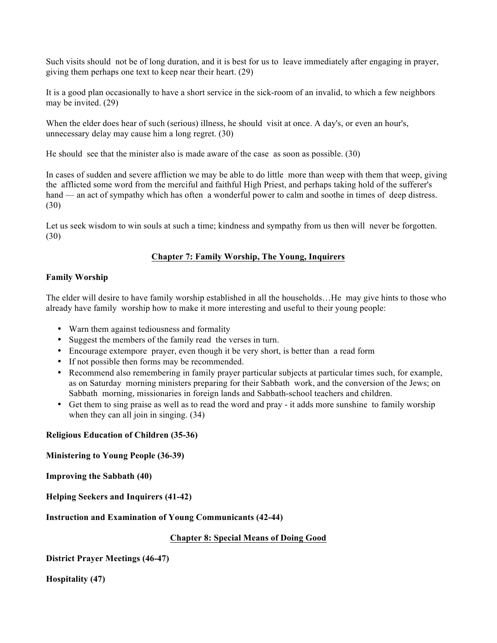Such visits should not be of long duration, and it is best for us to leave immediately after engaging in prayer, giving them perhaps one text to keep near their heart. (29)

It is a good plan occasionally to have a short service in the sick-room of an invalid, to which a few neighbors may be invited. (29)

When the elder does hear of such (serious) illness, he should visit at once. A day's, or even an hour's, unnecessary delay may cause him a long regret. (30)

He should see that the minister also is made aware of the case as soon as possible. (30)

In cases of sudden and severe affliction we may be able to do little more than weep with them that weep, giving the afflicted some word from the merciful and faithful High Priest, and perhaps taking hold of the sufferer's hand — an act of sympathy which has often a wonderful power to calm and soothe in times of deep distress. (30)

Let us seek wisdom to win souls at such a time; kindness and sympathy from us then will never be forgotten. (30)

# **Chapter 7: Family Worship, The Young, Inquirers**

## **Family Worship**

The elder will desire to have family worship established in all the households…He may give hints to those who already have family worship how to make it more interesting and useful to their young people:

- Warn them against tediousness and formality
- Suggest the members of the family read the verses in turn.
- Encourage extempore prayer, even though it be very short, is better than a read form
- If not possible then forms may be recommended.
- Recommend also remembering in family prayer particular subjects at particular times such, for example, as on Saturday morning ministers preparing for their Sabbath work, and the conversion of the Jews; on Sabbath morning, missionaries in foreign lands and Sabbath-school teachers and children.
- Get them to sing praise as well as to read the word and pray it adds more sunshine to family worship when they can all join in singing.  $(34)$

### **Religious Education of Children (35-36)**

**Ministering to Young People (36-39)**

**Improving the Sabbath (40)**

**Helping Seekers and Inquirers (41-42)**

### **Instruction and Examination of Young Communicants (42-44)**

### **Chapter 8: Special Means of Doing Good**

**District Prayer Meetings (46-47)**

**Hospitality (47)**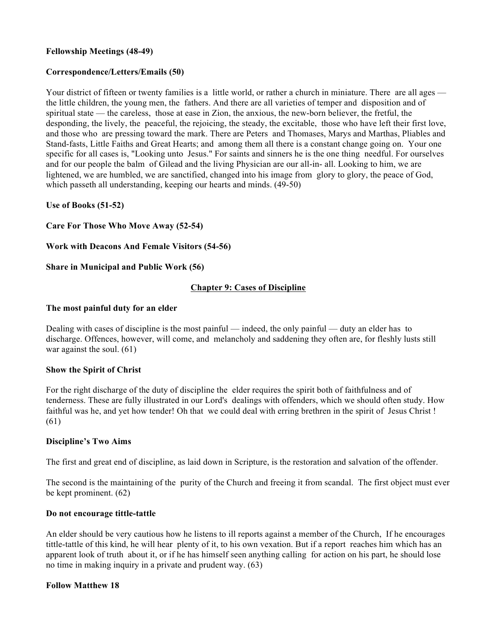### **Fellowship Meetings (48-49)**

## **Correspondence/Letters/Emails (50)**

Your district of fifteen or twenty families is a little world, or rather a church in miniature. There are all ages the little children, the young men, the fathers. And there are all varieties of temper and disposition and of spiritual state — the careless, those at ease in Zion, the anxious, the new-born believer, the fretful, the desponding, the lively, the peaceful, the rejoicing, the steady, the excitable, those who have left their first love, and those who are pressing toward the mark. There are Peters and Thomases, Marys and Marthas, Pliables and Stand-fasts, Little Faiths and Great Hearts; and among them all there is a constant change going on. Your one specific for all cases is, "Looking unto Jesus." For saints and sinners he is the one thing needful. For ourselves and for our people the balm of Gilead and the living Physician are our all-in- all. Looking to him, we are lightened, we are humbled, we are sanctified, changed into his image from glory to glory, the peace of God, which passeth all understanding, keeping our hearts and minds. (49-50)

**Use of Books (51-52)**

**Care For Those Who Move Away (52-54)**

**Work with Deacons And Female Visitors (54-56)**

**Share in Municipal and Public Work (56)**

## **Chapter 9: Cases of Discipline**

### **The most painful duty for an elder**

Dealing with cases of discipline is the most painful — indeed, the only painful — duty an elder has to discharge. Offences, however, will come, and melancholy and saddening they often are, for fleshly lusts still war against the soul. (61)

### **Show the Spirit of Christ**

For the right discharge of the duty of discipline the elder requires the spirit both of faithfulness and of tenderness. These are fully illustrated in our Lord's dealings with offenders, which we should often study. How faithful was he, and yet how tender! Oh that we could deal with erring brethren in the spirit of Jesus Christ! (61)

### **Discipline's Two Aims**

The first and great end of discipline, as laid down in Scripture, is the restoration and salvation of the offender.

The second is the maintaining of the purity of the Church and freeing it from scandal. The first object must ever be kept prominent. (62)

### **Do not encourage tittle-tattle**

An elder should be very cautious how he listens to ill reports against a member of the Church, If he encourages tittle-tattle of this kind, he will hear plenty of it, to his own vexation. But if a report reaches him which has an apparent look of truth about it, or if he has himself seen anything calling for action on his part, he should lose no time in making inquiry in a private and prudent way. (63)

### **Follow Matthew 18**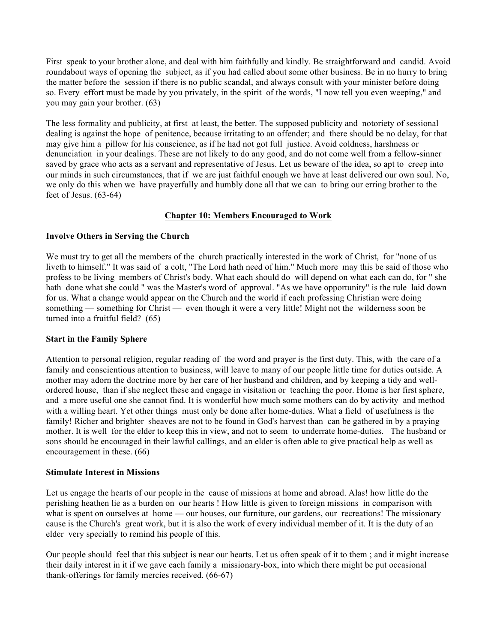First speak to your brother alone, and deal with him faithfully and kindly. Be straightforward and candid. Avoid roundabout ways of opening the subject, as if you had called about some other business. Be in no hurry to bring the matter before the session if there is no public scandal, and always consult with your minister before doing so. Every effort must be made by you privately, in the spirit of the words, "I now tell you even weeping," and you may gain your brother. (63)

The less formality and publicity, at first at least, the better. The supposed publicity and notoriety of sessional dealing is against the hope of penitence, because irritating to an offender; and there should be no delay, for that may give him a pillow for his conscience, as if he had not got full justice. Avoid coldness, harshness or denunciation in your dealings. These are not likely to do any good, and do not come well from a fellow-sinner saved by grace who acts as a servant and representative of Jesus. Let us beware of the idea, so apt to creep into our minds in such circumstances, that if we are just faithful enough we have at least delivered our own soul. No, we only do this when we have prayerfully and humbly done all that we can to bring our erring brother to the feet of Jesus. (63-64)

### **Chapter 10: Members Encouraged to Work**

### **Involve Others in Serving the Church**

We must try to get all the members of the church practically interested in the work of Christ, for "none of us liveth to himself." It was said of a colt, "The Lord hath need of him." Much more may this be said of those who profess to be living members of Christ's body. What each should do will depend on what each can do, for " she hath done what she could " was the Master's word of approval. "As we have opportunity" is the rule laid down for us. What a change would appear on the Church and the world if each professing Christian were doing something — something for Christ — even though it were a very little! Might not the wilderness soon be turned into a fruitful field? (65)

### **Start in the Family Sphere**

Attention to personal religion, regular reading of the word and prayer is the first duty. This, with the care of a family and conscientious attention to business, will leave to many of our people little time for duties outside. A mother may adorn the doctrine more by her care of her husband and children, and by keeping a tidy and wellordered house, than if she neglect these and engage in visitation or teaching the poor. Home is her first sphere, and a more useful one she cannot find. It is wonderful how much some mothers can do by activity and method with a willing heart. Yet other things must only be done after home-duties. What a field of usefulness is the family! Richer and brighter sheaves are not to be found in God's harvest than can be gathered in by a praying mother. It is well for the elder to keep this in view, and not to seem to underrate home-duties. The husband or sons should be encouraged in their lawful callings, and an elder is often able to give practical help as well as encouragement in these. (66)

#### **Stimulate Interest in Missions**

Let us engage the hearts of our people in the cause of missions at home and abroad. Alas! how little do the perishing heathen lie as a burden on our hearts ! How little is given to foreign missions in comparison with what is spent on ourselves at home — our houses, our furniture, our gardens, our recreations! The missionary cause is the Church's great work, but it is also the work of every individual member of it. It is the duty of an elder very specially to remind his people of this.

Our people should feel that this subject is near our hearts. Let us often speak of it to them ; and it might increase their daily interest in it if we gave each family a missionary-box, into which there might be put occasional thank-offerings for family mercies received. (66-67)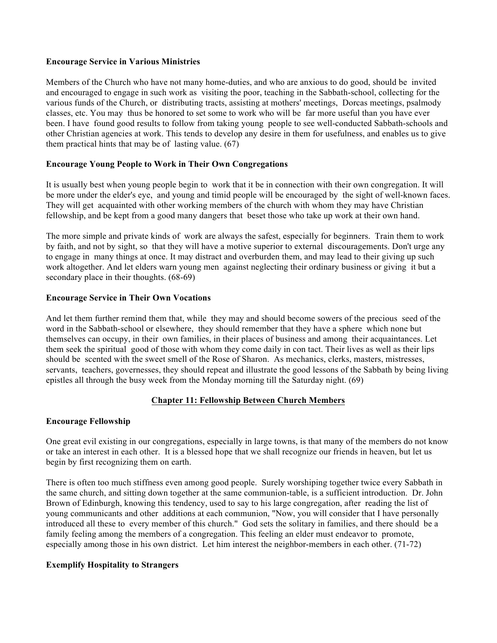#### **Encourage Service in Various Ministries**

Members of the Church who have not many home-duties, and who are anxious to do good, should be invited and encouraged to engage in such work as visiting the poor, teaching in the Sabbath-school, collecting for the various funds of the Church, or distributing tracts, assisting at mothers' meetings, Dorcas meetings, psalmody classes, etc. You may thus be honored to set some to work who will be far more useful than you have ever been. I have found good results to follow from taking young people to see well-conducted Sabbath-schools and other Christian agencies at work. This tends to develop any desire in them for usefulness, and enables us to give them practical hints that may be of lasting value. (67)

### **Encourage Young People to Work in Their Own Congregations**

It is usually best when young people begin to work that it be in connection with their own congregation. It will be more under the elder's eye, and young and timid people will be encouraged by the sight of well-known faces. They will get acquainted with other working members of the church with whom they may have Christian fellowship, and be kept from a good many dangers that beset those who take up work at their own hand.

The more simple and private kinds of work are always the safest, especially for beginners. Train them to work by faith, and not by sight, so that they will have a motive superior to external discouragements. Don't urge any to engage in many things at once. It may distract and overburden them, and may lead to their giving up such work altogether. And let elders warn young men against neglecting their ordinary business or giving it but a secondary place in their thoughts.  $(68-69)$ 

#### **Encourage Service in Their Own Vocations**

And let them further remind them that, while they may and should become sowers of the precious seed of the word in the Sabbath-school or elsewhere, they should remember that they have a sphere which none but themselves can occupy, in their own families, in their places of business and among their acquaintances. Let them seek the spiritual good of those with whom they come daily in con tact. Their lives as well as their lips should be scented with the sweet smell of the Rose of Sharon. As mechanics, clerks, masters, mistresses, servants, teachers, governesses, they should repeat and illustrate the good lessons of the Sabbath by being living epistles all through the busy week from the Monday morning till the Saturday night. (69)

### **Chapter 11: Fellowship Between Church Members**

### **Encourage Fellowship**

One great evil existing in our congregations, especially in large towns, is that many of the members do not know or take an interest in each other. It is a blessed hope that we shall recognize our friends in heaven, but let us begin by first recognizing them on earth.

There is often too much stiffness even among good people. Surely worshiping together twice every Sabbath in the same church, and sitting down together at the same communion-table, is a sufficient introduction. Dr. John Brown of Edinburgh, knowing this tendency, used to say to his large congregation, after reading the list of young communicants and other additions at each communion, "Now, you will consider that I have personally introduced all these to every member of this church." God sets the solitary in families, and there should be a family feeling among the members of a congregation. This feeling an elder must endeavor to promote, especially among those in his own district. Let him interest the neighbor-members in each other. (71-72)

### **Exemplify Hospitality to Strangers**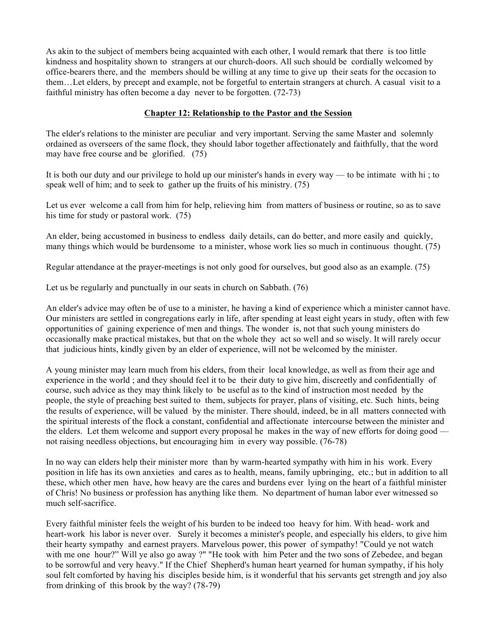As akin to the subject of members being acquainted with each other, I would remark that there is too little kindness and hospitality shown to strangers at our church-doors. All such should be cordially welcomed by office-bearers there, and the members should be willing at any time to give up their seats for the occasion to them…Let elders, by precept and example, not be forgetful to entertain strangers at church. A casual visit to a faithful ministry has often become a day never to be forgotten. (72-73)

### **Chapter 12: Relationship to the Pastor and the Session**

The elder's relations to the minister are peculiar and very important. Serving the same Master and solemnly ordained as overseers of the same flock, they should labor together affectionately and faithfully, that the word may have free course and be glorified. (75)

It is both our duty and our privilege to hold up our minister's hands in every way — to be intimate with hi ; to speak well of him; and to seek to gather up the fruits of his ministry. (75)

Let us ever welcome a call from him for help, relieving him from matters of business or routine, so as to save his time for study or pastoral work. (75)

An elder, being accustomed in business to endless daily details, can do better, and more easily and quickly, many things which would be burdensome to a minister, whose work lies so much in continuous thought. (75)

Regular attendance at the prayer-meetings is not only good for ourselves, but good also as an example. (75)

Let us be regularly and punctually in our seats in church on Sabbath. (76)

An elder's advice may often be of use to a minister, he having a kind of experience which a minister cannot have. Our ministers are settled in congregations early in life, after spending at least eight years in study, often with few opportunities of gaining experience of men and things. The wonder is, not that such young ministers do occasionally make practical mistakes, but that on the whole they act so well and so wisely. It will rarely occur that judicious hints, kindly given by an elder of experience, will not be welcomed by the minister.

A young minister may learn much from his elders, from their local knowledge, as well as from their age and experience in the world ; and they should feel it to be their duty to give him, discreetly and confidentially of course, such advice as they may think likely to be useful as to the kind of instruction most needed by the people, the style of preaching best suited to them, subjects for prayer, plans of visiting, etc. Such hints, being the results of experience, will be valued by the minister. There should, indeed, be in all matters connected with the spiritual interests of the flock a constant, confidential and affectionate intercourse between the minister and the elders. Let them welcome and support every proposal he makes in the way of new efforts for doing good not raising needless objections, but encouraging him in every way possible. (76-78)

In no way can elders help their minister more than by warm-hearted sympathy with him in his work. Every position in life has its own anxieties and cares as to health, means, family upbringing, etc.; but in addition to all these, which other men have, how heavy are the cares and burdens ever lying on the heart of a faithful minister of Chris! No business or profession has anything like them. No department of human labor ever witnessed so much self-sacrifice.

Every faithful minister feels the weight of his burden to be indeed too heavy for him. With head- work and heart-work his labor is never over. Surely it becomes a minister's people, and especially his elders, to give him their hearty sympathy and earnest prayers. Marvelous power, this power of sympathy! "Could ye not watch with me one hour?" Will ye also go away ?" "He took with him Peter and the two sons of Zebedee, and began to be sorrowful and very heavy." If the Chief Shepherd's human heart yearned for human sympathy, if his holy soul felt comforted by having his disciples beside him, is it wonderful that his servants get strength and joy also from drinking of this brook by the way? (78-79)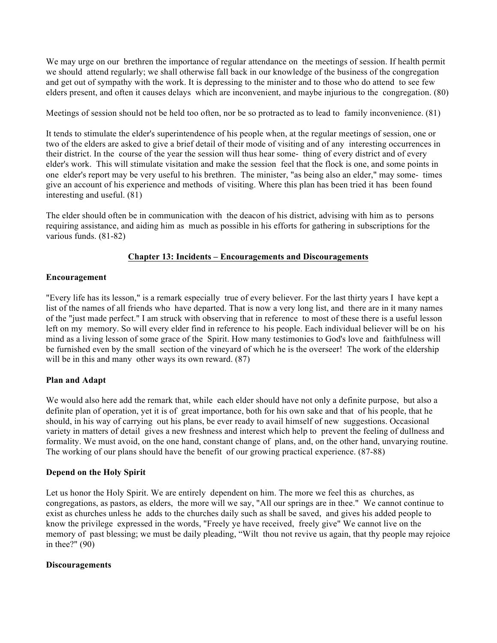We may urge on our brethren the importance of regular attendance on the meetings of session. If health permit we should attend regularly; we shall otherwise fall back in our knowledge of the business of the congregation and get out of sympathy with the work. It is depressing to the minister and to those who do attend to see few elders present, and often it causes delays which are inconvenient, and maybe injurious to the congregation. (80)

Meetings of session should not be held too often, nor be so protracted as to lead to family inconvenience. (81)

It tends to stimulate the elder's superintendence of his people when, at the regular meetings of session, one or two of the elders are asked to give a brief detail of their mode of visiting and of any interesting occurrences in their district. In the course of the year the session will thus hear some- thing of every district and of every elder's work. This will stimulate visitation and make the session feel that the flock is one, and some points in one elder's report may be very useful to his brethren. The minister, "as being also an elder," may some- times give an account of his experience and methods of visiting. Where this plan has been tried it has been found interesting and useful. (81)

The elder should often be in communication with the deacon of his district, advising with him as to persons requiring assistance, and aiding him as much as possible in his efforts for gathering in subscriptions for the various funds. (81-82)

### **Chapter 13: Incidents – Encouragements and Discouragements**

### **Encouragement**

"Every life has its lesson," is a remark especially true of every believer. For the last thirty years I have kept a list of the names of all friends who have departed. That is now a very long list, and there are in it many names of the "just made perfect." I am struck with observing that in reference to most of these there is a useful lesson left on my memory. So will every elder find in reference to his people. Each individual believer will be on his mind as a living lesson of some grace of the Spirit. How many testimonies to God's love and faithfulness will be furnished even by the small section of the vineyard of which he is the overseer! The work of the eldership will be in this and many other ways its own reward. (87)

### **Plan and Adapt**

We would also here add the remark that, while each elder should have not only a definite purpose, but also a definite plan of operation, yet it is of great importance, both for his own sake and that of his people, that he should, in his way of carrying out his plans, be ever ready to avail himself of new suggestions. Occasional variety in matters of detail gives a new freshness and interest which help to prevent the feeling of dullness and formality. We must avoid, on the one hand, constant change of plans, and, on the other hand, unvarying routine. The working of our plans should have the benefit of our growing practical experience. (87-88)

### **Depend on the Holy Spirit**

Let us honor the Holy Spirit. We are entirely dependent on him. The more we feel this as churches, as congregations, as pastors, as elders, the more will we say, "All our springs are in thee." We cannot continue to exist as churches unless he adds to the churches daily such as shall be saved, and gives his added people to know the privilege expressed in the words, "Freely ye have received, freely give" We cannot live on the memory of past blessing; we must be daily pleading, "Wilt thou not revive us again, that thy people may rejoice in thee?" (90)

#### **Discouragements**